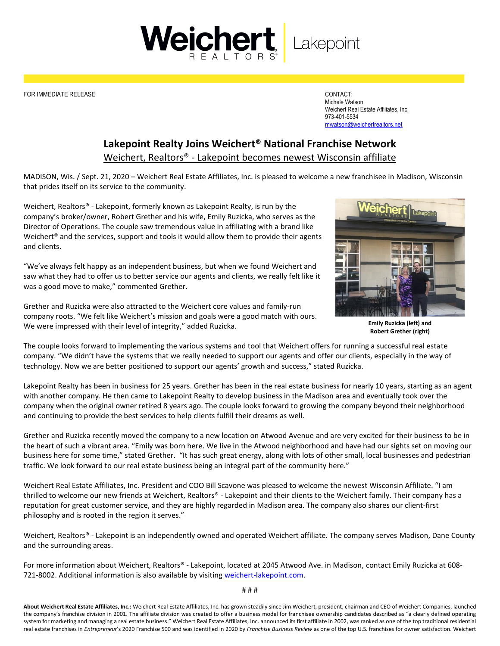

FOR IMMEDIATE RELEASE CONTACT:

Michele Watson Weichert Real Estate Affiliates, Inc. 973-401-5534 [mwatson@weichertrealtors.net](mailto:mwatson@weichertrealtors.net)

## **Lakepoint Realty Joins Weichert® National Franchise Network**

Weichert, Realtors® - Lakepoint becomes newest Wisconsin affiliate

MADISON, Wis. / Sept. 21, 2020 – Weichert Real Estate Affiliates, Inc. is pleased to welcome a new franchisee in Madison, Wisconsin that prides itself on its service to the community.

Weichert, Realtors® - Lakepoint, formerly known as Lakepoint Realty, is run by the company's broker/owner, Robert Grether and his wife, Emily Ruzicka, who serves as the Director of Operations. The couple saw tremendous value in affiliating with a brand like Weichert<sup>®</sup> and the services, support and tools it would allow them to provide their agents and clients.

"We've always felt happy as an independent business, but when we found Weichert and saw what they had to offer us to better service our agents and clients, we really felt like it was a good move to make," commented Grether.

Grether and Ruzicka were also attracted to the Weichert core values and family-run company roots. "We felt like Weichert's mission and goals were a good match with ours. We were impressed with their level of integrity," added Ruzicka.



**Emily Ruzicka (left) and Robert Grether (right)**

The couple looks forward to implementing the various systems and tool that Weichert offers for running a successful real estate company. "We didn't have the systems that we really needed to support our agents and offer our clients, especially in the way of technology. Now we are better positioned to support our agents' growth and success," stated Ruzicka.

Lakepoint Realty has been in business for 25 years. Grether has been in the real estate business for nearly 10 years, starting as an agent with another company. He then came to Lakepoint Realty to develop business in the Madison area and eventually took over the company when the original owner retired 8 years ago. The couple looks forward to growing the company beyond their neighborhood and continuing to provide the best services to help clients fulfill their dreams as well.

Grether and Ruzicka recently moved the company to a new location on Atwood Avenue and are very excited for their business to be in the heart of such a vibrant area. "Emily was born here. We live in the Atwood neighborhood and have had our sights set on moving our business here for some time," stated Grether. "It has such great energy, along with lots of other small, local businesses and pedestrian traffic. We look forward to our real estate business being an integral part of the community here."

Weichert Real Estate Affiliates, Inc. President and COO Bill Scavone was pleased to welcome the newest Wisconsin Affiliate. "I am thrilled to welcome our new friends at Weichert, Realtors® - Lakepoint and their clients to the Weichert family. Their company has a reputation for great customer service, and they are highly regarded in Madison area. The company also shares our client-first philosophy and is rooted in the region it serves."

Weichert, Realtors® - Lakepoint is an independently owned and operated Weichert affiliate. The company serves Madison, Dane County and the surrounding areas.

For more information about Weichert, Realtors® - Lakepoint, located at 2045 Atwood Ave. in Madison, contact Emily Ruzicka at 608 721-8002. Additional information is also available by visiting [weichert-lakepoint.com.](https://www.atlanticpropertiesllc.net/Home)

# # #

**About Weichert Real Estate Affiliates, Inc.:** Weichert Real Estate Affiliates, Inc. has grown steadily since Jim Weichert, president, chairman and CEO of Weichert Companies, launched the company's franchise division in 2001. The affiliate division was created to offer a business model for franchisee ownership candidates described as "a clearly defined operating system for marketing and managing a real estate business." Weichert Real Estate Affiliates, Inc. announced its first affiliate in 2002, was ranked as one of the top traditional residential real estate franchises in *Entrepreneur*'s 2020 Franchise 500 and was identified in 2020 by *Franchise Business Review* as one of the top U.S. franchises for owner satisfaction. Weichert